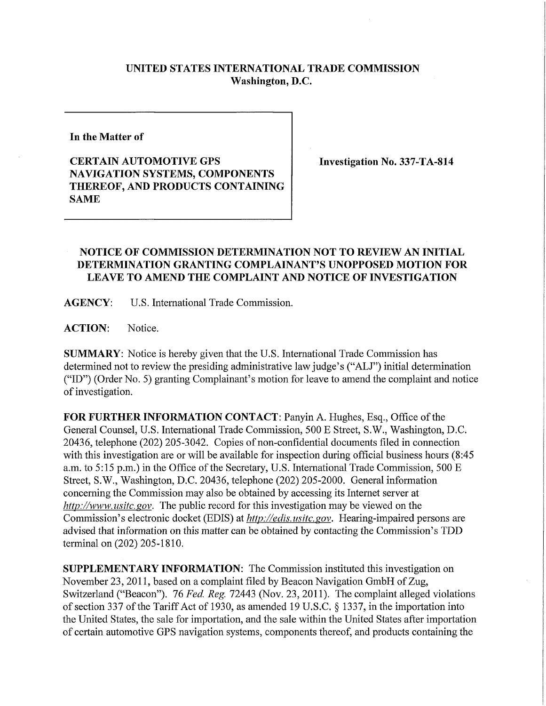## **UNITED STATES INTERNATIONAL TRADE COMMISSION Washington, D.C.**

**In the Matter of** 

**CERTAIN AUTOMOTIVE GPS NAVIGATION SYSTEMS, COMPONENTS THEREOF, AND PRODUCTS CONTAINING SAME** 

**Investigation No. 337-TA-814** 

## **NOTICE OF COMMISSION DETERMINATION NOT TO REVIEW AN INITIAL DETERMINATION GRANTING COMPLAINANT'S UNOPPOSED MOTION FOR LEAVE TO AMEND THE COMPLAINT AND NOTICE OF INVESTIGATION**

**AGENCY:** U.S. Intemational Trade Commission.

ACTION: Notice.

**SUMMARY:** Notice is hereby given that the U.S. International Trade Commission has determined not to review the presiding administrative law judge's ("ALJ") initial determination ("ID") (Order No. 5) granting Complainant's motion for leave to amend the complaint and notice of investigation.

**FOR FURTHER INFORMATION CONTACT:** Panyin A. Hughes, Esq., Office ofthe General Counsel, U.S. Intemational Trade Commission, 500 E Street, S.W., Washington, D.C. 20436, telephone (202) 205-3042. Copies of non-confidential documents filed in connection with this investigation are or will be available for inspection during official business hours (8:45 a.m. to 5:15 p.m.) in the Office of the Secretary, U.S. International Trade Commission, 500 E Street, S.W., Washington, D.C. 20436, telephone (202) 205-2000. General information concerning the Commission may also be obtained by accessing its Internet server at *http://www, usitc. gov.* The public record for this investigation may be viewed on the Commission's electronic docket (EDIS) at *http://edis. usitc.gov.* Hearing-impaired persons are advised that information on this matter can be obtained by contacting the Commission's TDD terminal on (202) 205-1810.

**SUPPLEMENTARY INFORMATION:** The Commission instituted this investigation on November 23, 2011, based on a complaint filed by Beacon Navigation GmbH of Zug, Switzerland ("Beacon"). 76 *Fed. Reg.* 72443 (Nov. 23, 2011). The complaint alleged violations of section 337 of the Tariff Act of 1930, as amended 19 U.S.C. § 1337, in the importation into the United States, the sale for importation, and the sale within the United States after importation of certain automotive GPS navigation systems, components thereof, and products containing the